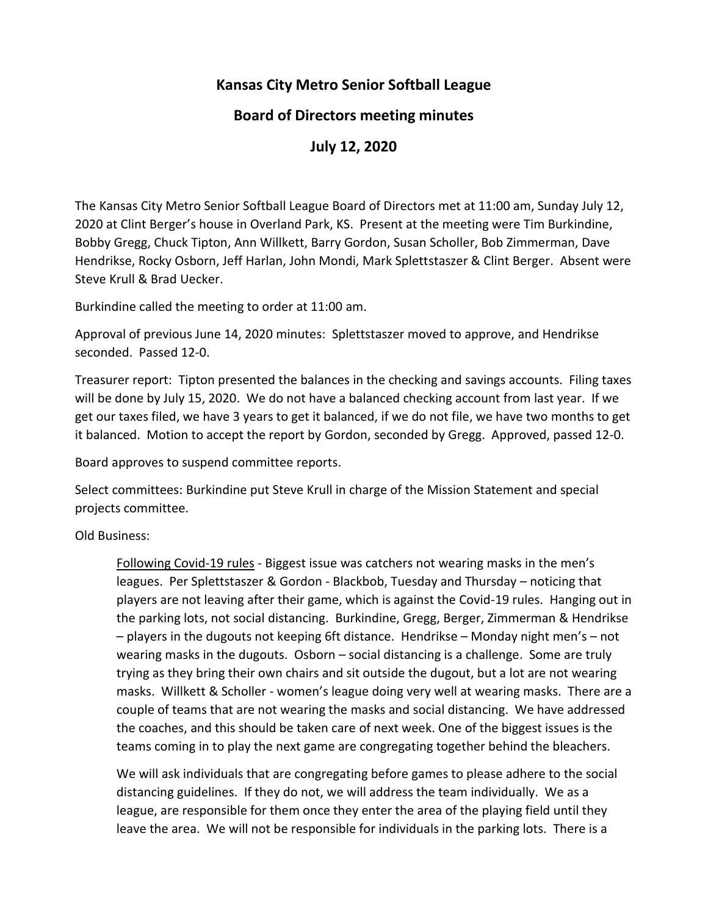# **Kansas City Metro Senior Softball League**

## **Board of Directors meeting minutes**

**July 12, 2020**

The Kansas City Metro Senior Softball League Board of Directors met at 11:00 am, Sunday July 12, 2020 at Clint Berger's house in Overland Park, KS. Present at the meeting were Tim Burkindine, Bobby Gregg, Chuck Tipton, Ann Willkett, Barry Gordon, Susan Scholler, Bob Zimmerman, Dave Hendrikse, Rocky Osborn, Jeff Harlan, John Mondi, Mark Splettstaszer & Clint Berger. Absent were Steve Krull & Brad Uecker.

Burkindine called the meeting to order at 11:00 am.

Approval of previous June 14, 2020 minutes: Splettstaszer moved to approve, and Hendrikse seconded. Passed 12-0.

Treasurer report: Tipton presented the balances in the checking and savings accounts. Filing taxes will be done by July 15, 2020. We do not have a balanced checking account from last year. If we get our taxes filed, we have 3 years to get it balanced, if we do not file, we have two months to get it balanced. Motion to accept the report by Gordon, seconded by Gregg. Approved, passed 12-0.

Board approves to suspend committee reports.

Select committees: Burkindine put Steve Krull in charge of the Mission Statement and special projects committee.

Old Business:

Following Covid-19 rules - Biggest issue was catchers not wearing masks in the men's leagues. Per Splettstaszer & Gordon - Blackbob, Tuesday and Thursday – noticing that players are not leaving after their game, which is against the Covid-19 rules. Hanging out in the parking lots, not social distancing. Burkindine, Gregg, Berger, Zimmerman & Hendrikse – players in the dugouts not keeping 6ft distance. Hendrikse – Monday night men's – not wearing masks in the dugouts. Osborn – social distancing is a challenge. Some are truly trying as they bring their own chairs and sit outside the dugout, but a lot are not wearing masks. Willkett & Scholler - women's league doing very well at wearing masks. There are a couple of teams that are not wearing the masks and social distancing. We have addressed the coaches, and this should be taken care of next week. One of the biggest issues is the teams coming in to play the next game are congregating together behind the bleachers.

We will ask individuals that are congregating before games to please adhere to the social distancing guidelines. If they do not, we will address the team individually. We as a league, are responsible for them once they enter the area of the playing field until they leave the area. We will not be responsible for individuals in the parking lots. There is a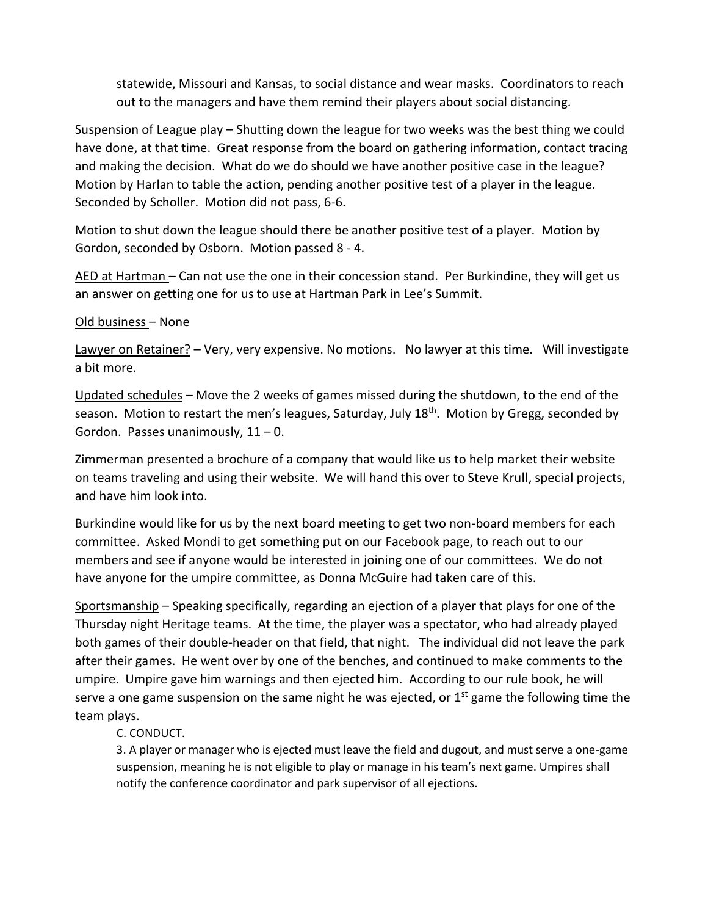statewide, Missouri and Kansas, to social distance and wear masks. Coordinators to reach out to the managers and have them remind their players about social distancing.

Suspension of League play – Shutting down the league for two weeks was the best thing we could have done, at that time. Great response from the board on gathering information, contact tracing and making the decision. What do we do should we have another positive case in the league? Motion by Harlan to table the action, pending another positive test of a player in the league. Seconded by Scholler. Motion did not pass, 6-6.

Motion to shut down the league should there be another positive test of a player. Motion by Gordon, seconded by Osborn. Motion passed 8 - 4.

AED at Hartman – Can not use the one in their concession stand. Per Burkindine, they will get us an answer on getting one for us to use at Hartman Park in Lee's Summit.

### Old business – None

Lawyer on Retainer? - Very, very expensive. No motions. No lawyer at this time. Will investigate a bit more.

Updated schedules – Move the 2 weeks of games missed during the shutdown, to the end of the season. Motion to restart the men's leagues, Saturday, July 18<sup>th</sup>. Motion by Gregg, seconded by Gordon. Passes unanimously,  $11 - 0$ .

Zimmerman presented a brochure of a company that would like us to help market their website on teams traveling and using their website. We will hand this over to Steve Krull, special projects, and have him look into.

Burkindine would like for us by the next board meeting to get two non-board members for each committee. Asked Mondi to get something put on our Facebook page, to reach out to our members and see if anyone would be interested in joining one of our committees. We do not have anyone for the umpire committee, as Donna McGuire had taken care of this.

Sportsmanship – Speaking specifically, regarding an ejection of a player that plays for one of the Thursday night Heritage teams. At the time, the player was a spectator, who had already played both games of their double-header on that field, that night. The individual did not leave the park after their games. He went over by one of the benches, and continued to make comments to the umpire. Umpire gave him warnings and then ejected him. According to our rule book, he will serve a one game suspension on the same night he was ejected, or  $1<sup>st</sup>$  game the following time the team plays.

### C. CONDUCT.

3. A player or manager who is ejected must leave the field and dugout, and must serve a one-game suspension, meaning he is not eligible to play or manage in his team's next game. Umpires shall notify the conference coordinator and park supervisor of all ejections.